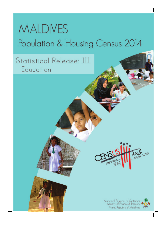# MALDIVES Population & Housing Census 2014

Statistical Release: III Education



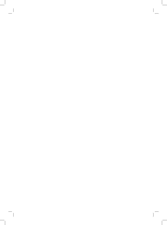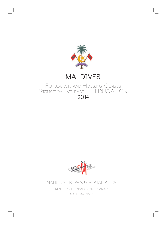



## PoPulation and Housing Census Statistical Release III: EDUCATION **2014**



# National Bureau of Statistics Ministry of Finance and Treasury

Male', Maldives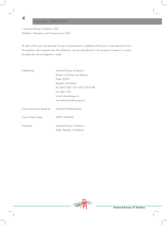#### Education: CENSUS 2014

© National Bureau of Statistics, 2015 Maldives - Population and Housing Census 2014

All rights of this work are reserved. No part may be printed or published without prior written permission from the publisher. Short excerpts from the publication may be reproduced for the purpose of research or review provided due acknowledgment is made.

| Published by:               | National Bureau of Statistics                                |  |  |  |
|-----------------------------|--------------------------------------------------------------|--|--|--|
|                             | Ministry of Finance and Treasury                             |  |  |  |
|                             | Male' 20379                                                  |  |  |  |
|                             | Republic of Maldives                                         |  |  |  |
|                             | Tel: 334 9 200 / 33 9 473 / 334 9 474                        |  |  |  |
|                             | Fax: 332 7 351                                               |  |  |  |
|                             | e-mail: info@stats.gov.mv                                    |  |  |  |
|                             | www.statisticsmaldives.gov.mv                                |  |  |  |
| Cover and Layout design by: | Aminath Mushfiqa Ibrahim                                     |  |  |  |
| Cover Photo Credits:        | <b>UNFPA MALDIVES</b>                                        |  |  |  |
| Printed by:                 | National Bureau of Statistics<br>Male', Republic of Maldives |  |  |  |

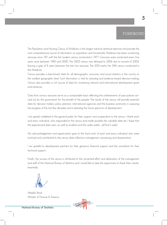#### **FOREWORD**

The Population and Housing Census of Maldives is the largest national statistical exercise and provide the most comprehensive source of information on population and households. Maldives has been conducting censuses since 1911 with the first modern census conducted in 1977. Censuses were conducted every five years since between 1985 and 2000. The 2005 census was delayed to 2006 due to tsunami of 2004, leaving a gap of 8 years between the last two censuses. The 2014 marks the 29th census conducted in the Maldives.

Census provides a benchmark data for all demographic, economic and social statistics in the country to the smallest geographic level. Such information is vital for planning and evidence based decision-making. Census also provides a rich source of data for monitoring national and international development goals and initiatives.

Data from various censuses serve as a comparable basis reflecting the achievements of past policies carried out by the government for the benefit of the people. The results of the census will provide essential data for decision makers, policy planners, international agencies and the business community in assessing the progress of the last few decades and in planning the future spectrum of development.

I am greatly indebted to the general public for their support and cooperation to the census. I thank each and every individual, who responded to the census and made possible this valuable data set. I hope that the experienced data users, as well as students and the wider public, will find it useful.

My acknowledgement and appreciation goes to the hard work of each and every individual who were involved and contributed to the census data collection management, processing and dissemination.

I am grateful to development partners for their generous financial support and the consultants for their technical support.

Finally, the success of this census is attributed to the concerted effort and dedication of the management and staff of the National Bureau of Statistics and I would like to take this opportunity to thank them wholeheartedly.

Abdulla Jihad Minister of Finance & Treasury



**National Bureau of Statistics**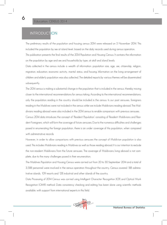## **INTRODUCTON**

6

The preliminary results of the population and housing census 2014 were released on 5 November 2014. This included the population by sex at island level, based on the daily records used during census operation. This publication presents the final results of the 2014 Population and Housing Census. It contains the information on the population by age and sex and households by type, at atoll and island levels.

Data collected in the census include a wealth of information: population size, age, sex, citizenship, religion, migration, education, economic activity, marital status, and housing. Information on the living arrangement of children and elderly population was also collected. The detailed reports by various themes will be disseminated subsequently.

The 2014 census is making a substantial change in the population that is included in the census, thereby moving closer to the international recommendations for census taking. According to the international recommendations, only the population residing in the country should be included in the census. In our past censuses, foreigners residing in the Maldives were not included in the census while we include Maldivians residing abroad. The Maldivians residing abroad were also included in the 2014 census to enable comparison with previous censuses. Census 2014 data introduces the concept of 'Resident Population' consisting of Resident Maldivians and Resident Foreigners, which will form the coverage of future censuses. Due to the numerous difficulties and challenges posed in enumerating the foreign population, there is an under coverage of this population, when compared with administrative records.

However, in order to allow comparisons with previous censuses the concept of Maldivian population is also used. This includes Maldivians residing in Maldives as well as those residing abroad. It is our intention to exclude the non-resident Maldivians from the future censuses. The coverage of Maldivians living abroad is not complete, due to the many challenges posed in their enumeration.

The Maldives Population and Housing Census were carried out from 20 to 30 September 2014 and a total of 3,588 personnel were involved in the census operation throughout the country. Census covered 188 administrative islands, 109 resorts and 128 industrial and other islands of the country.

Data Processing of 2014 Census was carried using Intelligent Character Recognition (ICR) and Optical Mark Recognition (OMR) method. Data consistency checking and editing has been done using scientific methods available, with support from international experts in this field.

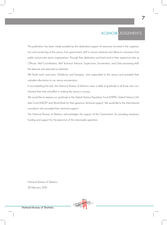## ACKNOWLEDGEMENTS

This publication has been made possible by the dedicated support of everyone involved in the organization and conducting of the census, from government staff in various ministries and offices to volunteers from public and private sector organizations. Through their dedication and hard work in their respective roles as Officials, Atoll Coordinators, Atoll Technical Advisors, Supervisors, Enumerators, and Data processing staff, this exercise was executed as planned.

We thank each and every Maldivian and foreigner, who responded to the census and provided their valuable information to our census enumerators.

In accomplishing this task, the National Bureau of Statistics owes a debt of gratitude to all those who contributed their time and effort in making this census a success.

We would like to express our gratitude to the United Nations Population Fund (UNFPA), United Nations Children Fund (UNICEF) and World Bank for their generous Technical support. We would like to the international consultants who provided their technical support.

The National Bureau of Statistics acknowledges the support of the Government, for providing necessary funding and support for the execution of this nationwide operation.

National Bureau of Statistics 28 February 2016



**National Bureau of Statistics**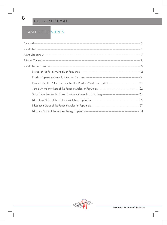$\mathcal{L}_{\mathcal{A}}$ 

Education: CENSUS 2014

## TABLE OF CONTENTS

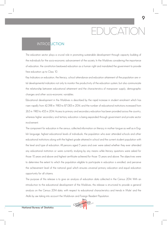# EDUCATION

9

## **INTRODUCTION**

The education sector plays a crucial role in promoting sustainable development through capacity building of the individuals for the socio-economic advancement of the society. In the Maldives considering the importance of education, the constitution bestowed education as a human right and mandated the government to provide free education up to Class 10.

Key Indicators on education, the literacy, school attendance and education attainment of the population are vital developmental indicators not only to monitor the productivity of the education system, but also communicate the relationship between educational attainment and the characteristics of manpower supply, demographic changes and other socio-economic variables.

Educational development in the Maldives is described by the rapid increase in student enrolment which has risen rapidly from 42,598 in 1983 to 87,083 in 2014, and the number of educational institutions increased from 265 in 1983 to 455 in 2014. Access to primary and secondary education has been provided across the country, whereas higher secondary and tertiary education is being expanded through government and private sector involvement.

The component for education in the census, collected information on literacy in mother tongue as well as in English language; highest educational levels of individuals, the population who ever attended schools and other educational institutions along with the highest grade attained in school and the current student population with the level and type of education. All persons aged 5 years and over were asked whether they ever attended any educational institution or were currently studying by any means while literacy questions were asked for those 10 years and above and highest certificate achieved for those 15 years and above. The objectives were to determine the extent to which the population eligible to participate in education is enrolled, and perceive the achievement level of the national goal which ensures universal primary education and equal education opportunity for all citizens.

The purpose of this release is to give an analysis of education data collected in the Census 2014. With an introduction to the educational development of the Maldives, this release is structured to provide a general analysis on the Census 2014 data, with respect to educational characteristics and trends in Male' and the Atolls by sex taking into account the Maldivian and Foreign Resident Population.

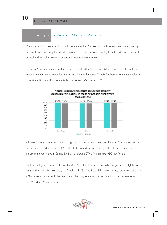#### Literacy of the Resident Maldivian Population

Making education a key area for social investment in the Maldives National development context, literacy of the population paves way for overall development of individuals empowering them to understand their social, political and cultural environment better and respond appropriately.

In Census 2014, literacy in mother tongue was determined by the person's ability to read and write, with understanding, mother tongue for Maldivians which is the local language Dhivehi. The literacy rate of the Maldivian Population which was 70.7 percent in 1977 increased to 98 percent in 2014.



In Figure 1: the Literacy rate in mother tongue of the resident Maldivian population in 2014 was almost same when compared with Census 2006. Similar to Census 2006, not much gender difference was found in the literacy in mother tongue in Census 2014, which showed 97.4% for male and 98.0% for female.

As shown in Figure 2 below, in the capital city Male', the literacy rate in mother tongue was a slightly higher compared to Atolls. In Male' also, the female with 98.4% had a slightly higher literacy rate than males with 97.8%, while within the Atolls the literacy in mother tongue was almost the same for male and female with 97.1 % and 97.7% respectively.

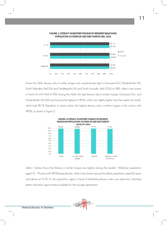

FIGURE: 2 LITERACY IN MOTHER TONGUE OF RESIDENT MALDIVIAN POPULATION 10 YEARS OF AGE AND OVER BY SEX, 2014

11

Across the Atolls, literacy rate in mother tongue was comparatively high in Gnaviyani (Gn), Mulakatholhu (M), South Nilandhe Atoll (Dh) and Faadhippolhu (Lh) and South Huvadhu Atoll (GDh) at 98%, while it was lowest in North Ari (AA) Atoll at 95%. Among the Atolls with high literacy rate in mother tongue, Gnaviyani (Gn) and Mulakatholhu (M) Atoll was found to be highest at 98.5%, which was slightly higher than the capital city Male' which had 98.1%. Population in resorts shows the highest literacy rate in mother tongue in the country with 98.9%, as shown in Figure 3.



Table 1: below shows that literacy in mother tongue was highest among the resident Maldivian population aged 15 – 19 years with 98.5% being literate, while it was lowest among the elderly population aged 65 years and above at 91.7%. As the population aged, a trend of diminishing literacy rates was observed, indicating better education opportunities available for the younger generation.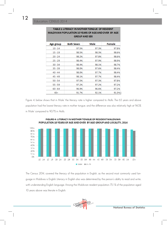| <b>MALDIVIAN POPULATION 10 YEARS OF AGE AND OVER BY AGE</b><br><b>GROUP AND SEX</b> |                   |             |        |  |  |  |
|-------------------------------------------------------------------------------------|-------------------|-------------|--------|--|--|--|
| Age group                                                                           | <b>Both Sexes</b> | <b>Male</b> | Female |  |  |  |
| $10 - 14$                                                                           | 97.5%             | 97.3%       | 97.8%  |  |  |  |
| $15 - 19$                                                                           | 98.5%             | 98.3%       | 98.6%  |  |  |  |
| $20 - 24$                                                                           | 98.2%             | 97.8%       | 98.6%  |  |  |  |
| $25 - 29$                                                                           | 98.4%             | 97.9%       | 98.9%  |  |  |  |
| $30 - 34$                                                                           | 98.4%             | 98.1%       | 98.7%  |  |  |  |
| $35 - 39$                                                                           | 98.0%             | 97.6%       | 98.4%  |  |  |  |
| $40 - 44$                                                                           | 98.0%             | 97.7%       | 98.4%  |  |  |  |
| $45 - 49$                                                                           | 98.1%             | 97.7%       | 98.4%  |  |  |  |
| $50 - 54$                                                                           | 97.5%             | 97.3%       | 97.8%  |  |  |  |
| $55 - 59$                                                                           | 97.2%             | 97.2%       | 97.2%  |  |  |  |
| $60 - 64$                                                                           | 96.9%             | 96.6%       | 97.2%  |  |  |  |
| $65+$                                                                               | 91.7%             | 92.1%       | 91.3%  |  |  |  |

# TABLE 1: LITERACY IN MOTHER TONG LIF OF RESIDENT.

Figure 4, below shows that in Male' the literacy rate is higher compared to Atolls. The 65 years and above population had the lowest literacy rate in mother tongue, and the difference was also relatively high at 94.5% in Male' compared to 90.7% in Atolls.





The Census 2014, covered the literacy of the population in English, as the second most commonly used language in Maldives is English. Literacy in English also was determined by the person's ability to read and write, with understanding English language. Among the Maldivian resident population 75.1% of the population aged 10 years above was literate in English.

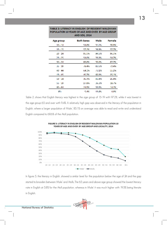| POPULATION 10 YEARS OF AGE AND OVER BY AGE GROUP<br>AND SEX, 2014 |            |        |                |  |  |
|-------------------------------------------------------------------|------------|--------|----------------|--|--|
| Age group                                                         | Both Sexes | Male   | <b>Female</b>  |  |  |
| 10 - 14                                                           | M.NY       | 94.ZX  | 95.5K          |  |  |
| 15 - 19                                                           | 97.2%      | 96.PX. | 97.7%          |  |  |
| 20 24                                                             | 95.5%      | 94.9%  | 96,5%          |  |  |
| 25 - 29                                                           | 14.DK      | 93.3%  | 94.ZW          |  |  |
| . 20 - 34                                                         | 88.8%      | 90.0X  | 87.7%          |  |  |
| 35 39                                                             | 78.4M      | 83.5%  | 73.456         |  |  |
| 40 44                                                             | 64.1%      | 73.1%  | 55,256         |  |  |
| 45 - 49                                                           | 49.7%      | 60.3%  | 39.1%          |  |  |
| 50 54                                                             | 36,3%      | 45,9%  | 26,456         |  |  |
| 55 59                                                             | 27.836     | 36.3%  | <u> 18. AM</u> |  |  |
| 60 - 64                                                           | 24.5%      | 33.SX  | 14.2%          |  |  |
| 651                                                               | 9.4%       | 1.3.6% | 4.1%           |  |  |

TABLE 2: LITERACY IN ENGLISH OF RESIDENT MALDIVIAN.

Table 2, shows that English literacy was highest in the age group of 15-19 with 97.2%, while it was lowest in the age group 65 and over with 9.4%. A relatively high gap was observed in the literacy of the population in English, where a larger population of Male', 85.1% on average was able to read and write and understand English compared to 68.6% of the Atoll population.



In figure 5, the literacy in English, showed a similar level for the population below the age of 24 and the gap started to broaden between Male' and Atolls. The 65 years and above age group showed the lowest literacy rate in English at 5.8% for the Atoll population, whereas in Male' it was much higher with 19.3% being literate in English.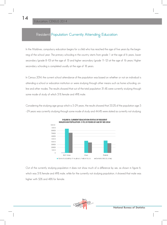14

### Resident Population Currently Attending Education

In the Maldives, compulsory education begins for a child who has reached the age of five years by the beginning of the school year. The primary schooling in the country starts from grade 1 at the age of 6 years, lower secondary (grade 8-10) at the age of 13 and higher secondary (grade 11-12) at the age of 16 years. Higher secondary schooling is completed usually at the age of 18 years.

In Census 2014, the current school attendance of the population was based on whether or not an individual is attending a school or education institution or were studying through other means such as home schooling, online and other modes. The results showed that out of the total population 31.4% were currently studying through some mode of study of which 51% female and 49% male.

Considering the studying age group which is 5-29 years, the results showed that 53.2% of the population age 5 –29 years was currently studying through some mode of study and 44.4% were stated as currently not studying.



FIGURE 6: CURRENT EDUCATION STATUS OF RESIDENT MALDIVIAN POPULATION 5 TO 29 YEARS OF AGE BY SEX 2014

Out of the currently studying population it does not show much of a difference by sex, as shown in figure 6, which was 51% female and 49% male, while for the currently not studying population, it showed that male was higher with 52% and 48% for female.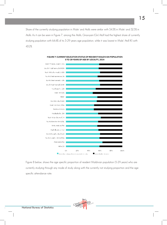Share of the currently studying population in Male' and Atolls were similar with 54.3% in Male' and 52.5% in Atolls. As it can be seen in Figure 7, among the Atolls, Gnaviyani (Gn) Atoll had the highest share of currently studying population with 64.4% of its 5-29 years age population, while it was lowest in Male' Atoll (K) with 43.2%.



FIGURE 7: CURRENT EDUCATION STATUS OF RESIDENT MALDIVIAN POPULATION 5 TO 29 YEARS OF AGE BY LOCALITY, 2014

Figure 8 below, shows the age specific proportion of resident Maldivian population (5-29 years) who are currently studying through any mode of study along with the currently not studying proportion and the age specific attendance rate.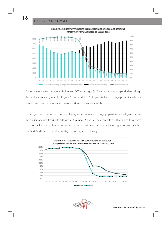16



FIGURE 8: CURRENT ATTENDANCE IN EDUCATION OF SCHOOL AGE RESIDENT MALDIVIAN POPULATION (5-29 years), 2014

The current attendance rate stays high above 90% in the ages 5-15, and then starts sharply declining till age 19 and then declined gradually till age 29. The population 5–15 years is the school age population who are normally expected to be attending Primary and Lower Secondary levels.

Those aged 16–18 years are considered the higher secondary school age population, where Figure 8 shows the sudden declining trend with 88% and 71% at age 16 and 17 years respectively. The age of 18 is where a student will usually sit their higher secondary exams and there on starts with their higher education, which consist 49% who were currently studying through any mode of study.

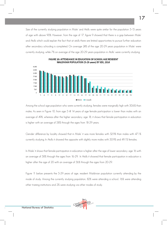Size of the currently studying population in Male' and Atolls were quite similar for the population 5-15 years of age with above 90%. However, from the age of 17, figure 9 showed that there is a gap between Male' and Atolls which could explain the fact that at atolls there are limited opportunities to pursue further education after secondary schooling is completed. On average 24% of the age 20-29 years population in Male' were currently studying, while 7% on average of the age 20-29 years population in Atolls' were currently studying.



#### FIGURE 10: ATTENDANCE IN EDUCATION OF SCHOOL AGE RESIDENT. MALDIVIAN POPULATION (5-29 years) BY SEX, 2014

Among the school age population who were currently studying, females were marginally high with 50.6% than males. As seen in Figure 10, from age 5 till 14 years of age female participation is lower than males with an average of 49%, whereas after the higher secondary; age 18, it shows that female participation in education is higher with an average of 58% through the ages from 18-29 years.

Gender difference by locality showed that in Male' it was more females with 52.9% than males with 47.1% currently studying. In Atolls it showed the opposite with slightly more males with 50.9% and 49.1% females.

In Male' it shows that female participation in education is higher after the age of lower secondary; age 16 with an average of 58% through the ages from 16-29. In Atolls it showed that female participation in education is higher after the age of 20 with an average of 56% through the ages from 20-29.

Figure 11 below presents the 5-29 years of age, resident Maldivian population currently attending by the mode of study. Among the currently studying population, 82% were attending a school, 16% were attending other training institutions and 2% were studying via other modes of study.

17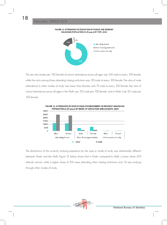18



FIGURE 11: ATTENDANCE IN EDUCATION OF SCHOOL AGE RESIDENT

The sex ratio (males per 100 female) of school attendance across all ages was 104 male to every 100 female, while the ratio among those attending training institutions was 133 male to every 100 female. The ratio of male attendance to other modes of study was lower than females with 75 male to every 100 female. Sex ratio of school attendance across all ages in the Atolls was 105 male per 100 female, and in Male' had 101 male per 100 female.



The distribution of the currently studying population by the type or mode of study was substantially different between Male' and the Atolls. Figure 13; below shows that in Male' compared to Atolls, a lower share, 67% attends schools, while a higher share of 31% were attending other training institutions and 1% was studying through other modes of study.

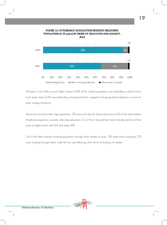

FIGURE 13: ATTENDANCE IN EDUCATION RESIDENT MALDIVIAN POPULATION (5-29 years) BY MODE OF EDUCATION AND LOCALITY,

Whereas, in the Atolls a much higher share of 92% of the student population was attending a school and a much lower share of 6% were attending a training institution, suggestive of geographical disparity in access to other training institutions.

Above the normal student age population; (30 years and above), there were around 6% of the total resident Maldivian population currently attending education. Out of this it showed that mainly females tend to further study at higher levels with 61% and males 39%.

Out of the total currently studying population through other modes of study, 13% were home schooling, 37% were studying through online, while the rest was following other forms of studying not stated.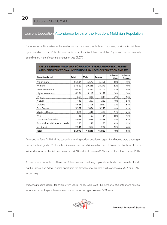20

#### Current Education Attendance levels of the Resident Maldivian Population

The Attendance Rate indicates the level of participation in a specific level of schooling by students at different ages. Based on Census 2014, the total number of resident Maldivian population 5 years and above, currently attending any type of education institution was 91,079.

| <b>Education Level</b>          | Total  | Male   | Female | % share of<br>Males | % share of<br><b>Females</b> |
|---------------------------------|--------|--------|--------|---------------------|------------------------------|
| Pre-primary                     | 11,134 | 5,673  | 5,461  | 51%                 | 49%                          |
| Primary                         | 37,519 | 19,248 | 18,271 | 51%                 | 49%                          |
| Lower secondary                 | 16,434 | 8,330  | 8,104  | 51%                 | 49%                          |
| Higher secondary                | 6,294  | 3,117  | 3,177  | 50%                 | 50%                          |
| O' Level                        | 653    | 304    | 349    | 47%                 | 53%                          |
| A' Level                        | 446    | 207    | 239    | 46%                 | 54%                          |
| Diploma                         | 4,625  | 1,708  | 2,917  | 37%                 | 63%                          |
| First Degree                    | 5,332  | 2,084  | 3,248  | 39%                 | 61%                          |
| Master's Degree                 | 874    | 446    | 428    | 51%                 | 49%                          |
| PHD                             | 31     | 17     | 14     | 55%                 | 45%                          |
| Certificate / Sanadhu           | 4,973  | 1,655  | 3,318  | 33%                 | 67%                          |
| For children with special needs | 223    | 140    | 83     | 63%                 | 37%                          |
| Not Stated                      | 2,541  | 1,317  | 1,224  | 52%                 | 48%                          |
| Total                           | 91,079 | 44,246 | 46,833 | 49%                 | 51%                          |

# TABLE 3: RESIDENT MALDIVIAN POPULATION 5 YEARS AND OVER CURRENTLY

According to Table 3, 78% of the currently attending student population aged 5 and above were studying at below the level grade 12, of which 51% were males and 49% were females. It followed by the share of population who study for the first degree courses (5.9%), certificate courses (5.5%) and diploma level courses (5.1%).

As can be seen in Table 3, O'level and A'level students are the group of students who are currently attending the O'level and A'level classes apart from the formal school process which comprises of 0.7% and 0.5% respectively.

Students attending classes for children with special needs were 0.2%. The number of students attending classes for children with special needs was spread across the ages between 5-24 years.

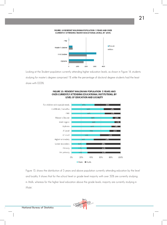#### FIGURE: 14 RESIDENT MALDIVIAN POPULATION 5 YEARS AND OVER CURRENTLY ATTENDING HIGHER EDUCATIONAL LEVELS, BY LEVEL



Looking at the Student population currently attending higher education levels, as shown in Figure 14, students studying for master's degree comprised 1% while the percentage of doctoral degree students had the least share with 0.03%.



#### FIGURE 15: RESIDENT MALDIVIAN POPULATION 5 YEARS AND OVER CURRENTLY ATTENDING EDUCATIONAL INSTITUTIONS, BY LEVEL OF EDUCATION AND LOCALITY

Figure 15, shows the distribution of 5 years and above population currently attending education by the level and locality. It shows that for the school level or grade level majority with over 50% are currently studying in Atolls, whereas for the higher level education above the grade levels, majority are currently studying in Male'.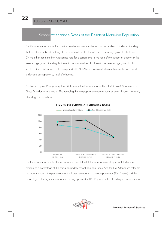### School Attendance Rates of the Resident Maldivian Population

The Gross Attendance rate for a certain level of education is the ratio of the number of students attending that level irrespective of their age to the total number of children in the relevant age group for that level. On the other hand, the Net Attendance rate for a certain level, is the ratio of the number of students in the relevant age group attending that level to the total number of children in the relevant age group for that level. The Gross Attendance rates compared with Net Attendance rates indicates the extent of over- and under-age participation by level of schooling.

As shown in figure 16, at primary level (6-12 years), the Net Attendance Rate (NAR) was 88%, whereas the Gross Attendance rate was at 99%, revealing that the population under 6 years or over 12 years is currently attending primary school.



FIGURE 16: SCHOOL ATTENDANCE RATES

The Gross Attendance rates for secondary schools is the total number of secondary school students, expressed as a percentage of the official secondary school-age population. And the Net Attendance rates for secondary school is the percentage of the lower secondary school-age population (13–15 years) and the percentage of the higher secondary school-age population (16–17 years) that is attending secondary school.

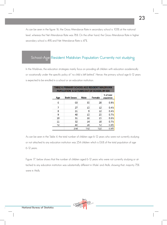As can be seen in the figure 16, the Gross Attendance Rate in secondary school is 103% at the national level, whereas the Net Attendance Rate was 76%. On the other hand, the Gross Attendance Rate in higher secondary school is 49% and Net Attendance Rate is 47%.

## School-Age Resident Maldivian Population Currently not studying

In the Maldives, the education strategies mainly focus on providing all children with education academically or vocationally under the specific policy of "no child is left behind". Hence, the primary school age 6-12 years is expected to be enrolled in a school or an education institution.

| TABLE 4: PRIMARY SCHOOL AGE RESIDENT MALDIVIAN<br>POPULATION 6-12 YEARS OUT OF SCHOOL BY SEX |                   |      |        |                             |  |
|----------------------------------------------------------------------------------------------|-------------------|------|--------|-----------------------------|--|
| Age                                                                                          | <b>Both Sexes</b> | Male | Female | $\%$ of total<br>population |  |
| 6                                                                                            | 63.               | 35.  | 28     | 0.9%                        |  |
| 7                                                                                            | 27                | 15   | 12     | 0.4%                        |  |
| 8                                                                                            | 21.               | 9    | 12     | 0.4%                        |  |
| 9                                                                                            | 40                | 15   | 25     | 0.7%                        |  |
| 10                                                                                           | 31.               | 16   | 15     | 0.6%                        |  |
| 11                                                                                           | 32                | 14   | 18     | 0.7%                        |  |
| 12                                                                                           | 40                | 28   | 12     | $0.8\%$                     |  |
|                                                                                              | 254               | 132. | 122    | 0.6%                        |  |

As can be seen in the Table 4, the total number of children age 6-12 years who were not currently studying or not attached to any education institution was 254 children which is 0.6% of the total population of age 6-12 years.

Figure 17, below shows that the number of children aged 6-12 years who were not currently studying or attached to any education institution was substantially different in Male' and Atolls, showing that, majority 75% were in Atolls.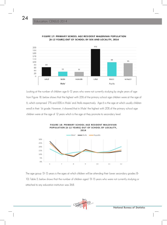

#### FIGURE 17: PRIMARY SCHOOL AGE RESIDENT MALDIVIAN POPULATION (6-12 YEARS) OUT OF SCHOOL BY SEX AND LOCALITY, 2014

Looking at the number of children age 6-12 years who were not currently studying by single years of age from Figure 18, below shows that the highest with 25% of the primary school age children were at the age of 6, which comprised 17% and 83% in Male' and Atolls respectively. Age 6 is the age at which usually children enroll in their 1st grade. However, it showed that in Male' the highest with 20% of the primary school age children were at the age of 12 years which is the age at they promote to secondary level.



The age group 13-15 years is the ages at which children will be attending their lower secondary grades (8- 10). Table 5, below shows that the number of children aged 13-15 years who were not currently studying or attached to any education institution was 368.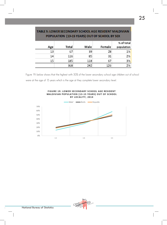|     | m.    |      |        |            |
|-----|-------|------|--------|------------|
|     |       |      |        | % of total |
| Age | Total | Male | Female | population |
| 13  | 67    | 39   | 28     | $1\%$      |
| 14  | 116   | 85.  | 31     | 2%         |
| 15, | 185.  | 118  | 67     | $3\%$      |
|     | 368   | 242  | 126    | 2%         |

#### TABLE 5: LOWER SECONDARY SCHOOL AGE RESIDENT MALDIVIAN POPULATION (13-15 YEARS) OUT OF SCHOOL BY SEX

Figure 19; below shows that the highest with 50% of the lower secondary school age children out of school were at the age of 15 years which is the age at they complete lower secondary level.



 $1\,4$ 

15

#### FIGURE 19: LOWER SECONDARY SCHOOL AGE RESIDENT MALDIVIAN POPULATION (13-15 YEARS) OUT OF SCHOOL



 $13$ 

10% 0%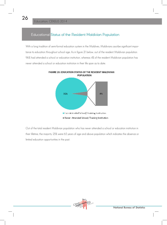26

### Educational Status of the Resident Maldivian Population

With a long tradition of semi-formal education system in the Maldives, Maldivians ascribe significant importance to education throughout school age. As in figure 21 below, out of the resident Maldivian population 96% had attended a school or education institution, whereas 4% of the resident Maldivian population has never attended a school or education institution in their life span as to date.



FIGURE 20: EDUCATION STATUS OF THE RESIDENT MALDIVIAN **POPULATION** 

Out of the total resident Maldivian population who has never attended a school or education institution in their lifetime, the majority 25% were 65 years of age and above population which indicates the absence or limited education opportunities in the past.

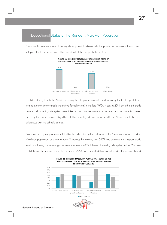#### Educational Status of the Resident Maldivian Population

Educational attainment is one of the key developmental indicator which supports the measure of human development with the indication of the level of skill of the people in the society.

27



**FIGURE 21: RESIDENT MALDIVIAN POPULATION 5 YEARS OF** ASE AND OVER WHO ATTENDED SCHOOL BY EDUCATIONAL SYSTEM FOLLOWED

The Education system in the Maldives having the old grade system (a semi-formal system) in the past, transformed into the current grade system (the formal system) in the late 1970s. In census 2014, both the old grade system and current grade system were taken into account separately as the level and the contents covered by the systems were considerably different. The current grade system followed in the Maldives will also have differences with the schools abroad.

Based on the highest grade completed by the education system followed of the 5 years and above resident Maldivian population, as shown in figure 21 above; the majority with 54.7% had achieved their highest grade level by following the current grade system, whereas 44.2% followed the old grade system in the Maldives, 0.2% followed the special needs classes and only 0.9% had completed their highest grade at a schools abroad.



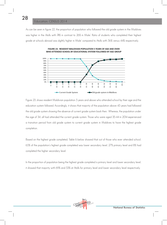#### Education: CENSUS 2014

As can be seen in figure 22, the proportion of population who followed the old grade system in the Maldives was higher in the Atolls with 74% in contrast to 26% in Male'. Ratio of students who completed their highest grade at schools abroad was slightly higher in Male' compared to Atolls with 56% versus 44% respectively.



FIGURE 23: RESIDENT MALDIVIAN POPULATION 5 YEARS OF AGE AND OVER WHO ATTENDED SCHOOL BY EDUCATIONAL SYSTEM FOLLOWED BY AGE GROUP

Figure 23, shows resident Maldivian population 5 years and above who attended school by their age and the education system followed. Accordingly, it shows that majority of the population above 45 years had followed the old grade system showing the absence of current grade system back then. Whereas, the population under the age of 34, all had attended the current grade system. Those who were aged 35-44 in 2014 experienced a transition period from old grade system to current grade system in Maldives to have the highest grade completion.

Based on the highest grade completed, Table 6 below showed that out of those who ever attended school, 65% of the population's highest grade completed was lower secondary level, 27% primary level and 8% had completed the higher secondary level.

In the proportion of population being the highest grade completed is primary level and lower secondary level, it showed that majority with 69% and 53% at Atolls for primary level and lower secondary level respectively.

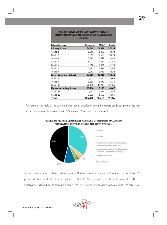| <b>LOCALITY</b>                |          |        |         |  |  |
|--------------------------------|----------|--------|---------|--|--|
| <b>Education Level</b>         | Republic | Male"  | Atolls  |  |  |
| <b>Primary School</b>          | 36,338   | 11,354 | 25,534  |  |  |
| Grade 1                        | 5,668    | 1,850  | 3,818   |  |  |
| Grade 2                        | 5,353    | 1,680  | 3,673   |  |  |
| Grade 3                        | 5,063    | 1,583  | 3,480   |  |  |
| Circule: 4                     | 4,917    | 1,530  | 3,387   |  |  |
| Grade 5                        | 4,958    | 1,484  | 3,474   |  |  |
| Grade 6                        | 5,267    | 1,487  | 3,780   |  |  |
| Grade 7                        | 5,662    | 1.740  | 3,922   |  |  |
| Lower Secondary School         | 87,856   | 40,943 | 46,913  |  |  |
| Grade 8                        | 5,253    | 1,610  | 3,643   |  |  |
| Grade 9                        | 6,155    | 2,040  | 4,115   |  |  |
| Grade 10                       | /6,448   | 37,293 | 39, 155 |  |  |
| <b>Higher Secondary School</b> | 10,726   | 6,119  | 4,607   |  |  |
| Grade 11                       | 2,901    | 1,459  | 1,442   |  |  |
| Grade 12                       | 7,825    | 4,660  | 3,165   |  |  |
| Total                          | 135,470  | 58,416 | 77,054  |  |  |

## TABLE 6: HIGHEST GRADE COMPLETED OF RESIDENT MALDIVIAN POPULATION 5 YEARS OF AGE AND OVER BY

Furthermore, the table 6, shows in the proportion of population being the highest grade completed was high-

er secondary level, that majority with 57% were in Male' and 43% in the Atolls.



#### FIGURE 24: HIGHEST CERTIFICATE ACHIEVED OF RESIDENT MALDIVIAN POPULATION 15 YEARS OF AGE AND OVER BY LEVEL

Based on the highest certificate achieved, figure 24, shows that majority with 45% of the total population 15 years and above had not attained any formal certificate. Also, it shows that 34% had attained the O'Level qualification, followed by Diploma qualification with 15%, A'Level with 3% and Graduate Level with only 0.2%.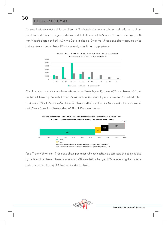#### Education: CENSUS 2014

The overall education status of the population at Graduate level is very low, showing only 483 person of the population had attained a degree and above certificate. Out of that, 66% were with Bachelor's degree, 30% with Master's degree and only 4% with a Doctoral degree. Out of the 15 years and above population who had not attained any certificate, 9% is the currently school attending population.

LIGURE 25: ACHEVMENT OF A CERTIFICATE BY RESIDENT MATDIVIAN.



Out of the total population who have achieved a certificate, Figure 26; shows 65% had obtained O 'Level certificate, followed by 19% with Academic/Vocational Certificate and Diploma (more than 6 months duration in education), 9% with Academic/Vocational Certificate and Diploma (less than 6 months duration in education) and 6% with A 'Level certificate and only 0.4% with Degree and above.



Table 7; below shows the 15 years and above population who have achieved a certificate by age group and by the level of certificate achieved. Out of which 93% were below the age of 45 years. Among the 65 years and above population only 10% have achieved a certificate.

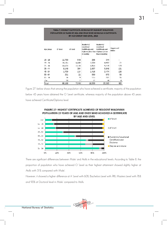| Age group. | Of level | A' level | Academic/<br><b>Manufactured</b><br>Certificate and<br>Diploma (less than Diploma (more-<br>6 months). | Academic/<br>мазниты<br>Certifificate and<br>than 6 months) | De pree and<br>Above |
|------------|----------|----------|--------------------------------------------------------------------------------------------------------|-------------------------------------------------------------|----------------------|
| $15 - 18$  | 11,730   | 548      | 266                                                                                                    | 344                                                         |                      |
| 19 24      | $24,545$ | 4,680    | 2,000                                                                                                  | 4,932                                                       | 27                   |
| 25 24      | 33,623   | 2,1,63   | 3,863                                                                                                  | 9,259                                                       | 123                  |
| $35 - 44$  | 8.148    | 394      | 2,657                                                                                                  | 5.046                                                       | 131                  |
| $45 - 54$  | 1,709    | 114      | 1.416                                                                                                  | 2.474                                                       | 126                  |
| $55 - 61$  | 331      | 21       | 550                                                                                                    | 973                                                         | 56                   |
| 65. IA     | 74       | Q        | 1/25                                                                                                   | 261                                                         | 16                   |
| Cet-       | 18.      | 2        | 12.                                                                                                    | 14.                                                         | 4                    |
| Total      | 80,168   | 7.946    | 10,999                                                                                                 | 23,363                                                      | 483                  |

#### TABLE 7: HIGHEST CERTIFICATE ACHIEVED OF RESIDENT MALDIVIAN POPULATION 15 YEARS OF AGE AND OVER WHO ACHIEVED A CERTIFICATE BY AGE GROUP AND LEVEL, 2014

Figure 27; below shows that among the population who have achieved a certificate, majority of the population below 45 years have obtained the O 'Level certificate, whereas majority of the population above 45 years have achieved Certificate/Diploma level.



There are significant differences between Male' and Atolls in the educational levels. According to Table 8, the proportion of population who have achieved O 'Level as their highest attainment showed slightly higher at

Atolls with 51% compared with Male'.

However, it showed a higher difference at A 'Level with 60%, Bachelors Level with 74%, Masters Level with 76% and 90% at Doctoral level in Male' compared to Atolls.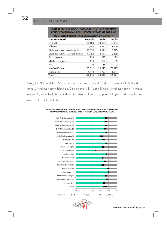| TABLE & HIGHEST EDUCATIONAL CERTIFICATE ACHIEVED BY                             |         |        |         |  |  |  |
|---------------------------------------------------------------------------------|---------|--------|---------|--|--|--|
| <b>RESIDENT MALDIVIAN POPULATION 15 YEARS OF AGE AND</b>                        |         |        |         |  |  |  |
| OVER WHO EVER ATTENDEDEDUCATION BY LOCALITY                                     |         |        |         |  |  |  |
| Male <sup>*</sup><br><b>Atolis</b><br><b>Republic</b><br><b>Education Level</b> |         |        |         |  |  |  |
| O'level                                                                         | 80,168  | 39,185 | 40,983  |  |  |  |
| A' level                                                                        | 7,946   | 4,737  | 3,209   |  |  |  |
| Diploma (Less than 6 months)                                                    | 10,999  | 5.574  | 5.425   |  |  |  |
| Diploma (More than 6 months)                                                    | 23,363  | 14,193 | 9,170   |  |  |  |
| First degree                                                                    | 320     | 237    | 83.     |  |  |  |
| Masters degree                                                                  | 143     | 108    | 35.     |  |  |  |
| PHD.                                                                            | 20      | 18.    | 7       |  |  |  |
| No Certificate                                                                  | 105,042 | 29,215 | 75,827  |  |  |  |
| <b>Not stated</b>                                                               | 5,319   | 1,792  | 3,527   |  |  |  |
| Total                                                                           | 233,320 | 95.059 | 138,261 |  |  |  |

Among the Atoll population 15 years and over who have achieved a certificate, majority with 80% had obtained O 'Level qualification, followed by Diploma level with 11% and 8% with A 'Level qualification. According to figure 28, within the Atolls also it shows that majority of the total population 15 years and above had attained the O 'Level qualification.



FIGURE 28: PERCENTAGE OF OF RESIDENT MALDIVIAN POPULATION 15 YEARS OF AGE AND OVER WHO HAD ACHIEVED A CERTIFICATE BY LEVEL AND LOCALITY, 2014

National Bureau of Statistics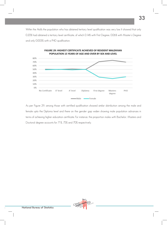Within the Atolls the population who has obtained tertiary level qualification was very low. It showed that only 0.20% had obtained a tertiary level certificate, of which 0.14% with First Degree, 0.06% with Master's Degree and only 0.003% with a PHD qualification.



FIGURE 29: HIGHEST CERTIFICATE ACHIEVED OF RESIDENT MALDIVIAN POPULATION 15 YEARS OF AGE AND OVER BY SEX AND LEVEL

As per Figure 29, among those with certified qualification showed similar distribution among the male and female upto the Diploma level and there on the gender gap widen showing male population advances in terms of achieving higher education certificate. For instance, the proportion males with Bachelor, Masters and Doctoral degree accounts for 71%, 75% and 70% respectively.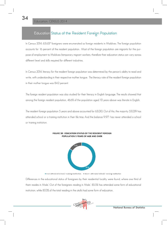34

## Education Status of the Resident Foreign Population

In Census 2014, 63,637 foreigners were enumerated as foreign residents in Maldives. The foreign population accounts for 16 percent of the resident population. Most of the foreign population are migrants for the purpose of employment to Maldives (temporary migrant workers, therefore their education status can vary across different level and skills required for different industries.

In Census 2014, literacy for the resident foreign population was determined by the person's ability to read and write, with understanding in their respective mother tongue. The literacy rate of the resident foreign population in their mother tongue was 84.2 percent.

The foreign resident population was also studied for their literacy in English language. The results showed that among the foreign resident population, 46.6% of the population aged 10 years above was literate in English.

The resident foreign population 5 years and above accounted for 63,010. Out of this, the majority 53,039 has attended school or a training institution in their life time. And the balance 9,971 has never attended a school or training institution.



FIGURE 30: EDUCATION STATUS OF THE RESIDENT FOREIGN POPULATION 5 YEARS OF AGE AND OVER

Elver Attended School/ Training Institution - ENever Attended School/ Training Institution

Differences in the educational status of foreigners by their residential locality were found, where one third of them resides in Male'. Out of the foreigners residing in Male', 85.5% has attended some form of educational institution, while 83.3% of the total residing in the atolls had some form of education.

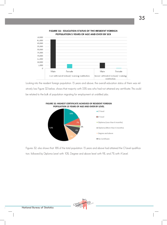

#### FIGURE 31: EDUCATION STATUS OF THE RESIDENT FOREIGN POPULATION 5 YEARS OF AGE AND OVER BY SEX

Looking into the resident foreign population 15 years and above, the overall education status of them was relatively low. Figure 32 below, shows that majority with 53% was who had not attained any certificate. This could be related to the bulk of population migrating for employment at unskilled jobs.

FIGURE 32: HIGHEST CERTIFICATE ACHIEVED OF RESIDENT FOREIGN



Figures 32; also shows that 18% of the total population 15 years and above had attained the O'Level qualification, followed by Diploma Level with 10%, Degree and above level with 9%, and 7% with A'Level.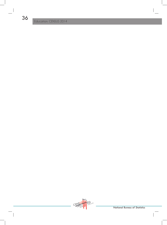$\frac{1}{2}$ 

Education: CENSUS 2014



 $\| \cdot \|$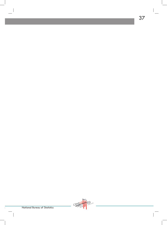$\overline{\phantom{a}}$ 

 $\| \cdot \|$ 

 $\overline{\phantom{a}}$ 

CENSUS

**Bally Book** 

 $\sim$   $\,$ 

 $\overline{\phantom{a}}$